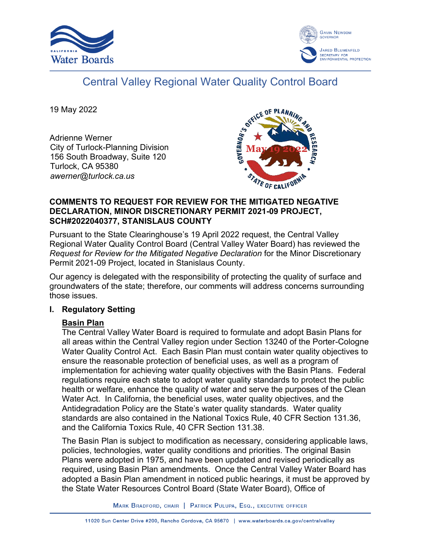



# Central Valley Regional Water Quality Control Board

19 May 2022

Adrienne Werner City of Turlock-Planning Division 156 South Broadway, Suite 120 Turlock, CA 95380 *awerner@turlock.ca.us*



### **COMMENTS TO REQUEST FOR REVIEW FOR THE MITIGATED NEGATIVE DECLARATION, MINOR DISCRETIONARY PERMIT 2021-09 PROJECT, SCH#2022040377, STANISLAUS COUNTY**

Pursuant to the State Clearinghouse's 19 April 2022 request, the Central Valley Regional Water Quality Control Board (Central Valley Water Board) has reviewed the *Request for Review for the Mitigated Negative Declaration* for the Minor Discretionary Permit 2021-09 Project, located in Stanislaus County.

Our agency is delegated with the responsibility of protecting the quality of surface and groundwaters of the state; therefore, our comments will address concerns surrounding those issues.

## **I. Regulatory Setting**

# **Basin Plan**

The Central Valley Water Board is required to formulate and adopt Basin Plans for all areas within the Central Valley region under Section 13240 of the Porter-Cologne Water Quality Control Act. Each Basin Plan must contain water quality objectives to ensure the reasonable protection of beneficial uses, as well as a program of implementation for achieving water quality objectives with the Basin Plans. Federal regulations require each state to adopt water quality standards to protect the public health or welfare, enhance the quality of water and serve the purposes of the Clean Water Act. In California, the beneficial uses, water quality objectives, and the Antidegradation Policy are the State's water quality standards. Water quality standards are also contained in the National Toxics Rule, 40 CFR Section 131.36, and the California Toxics Rule, 40 CFR Section 131.38.

The Basin Plan is subject to modification as necessary, considering applicable laws, policies, technologies, water quality conditions and priorities. The original Basin Plans were adopted in 1975, and have been updated and revised periodically as required, using Basin Plan amendments. Once the Central Valley Water Board has adopted a Basin Plan amendment in noticed public hearings, it must be approved by the State Water Resources Control Board (State Water Board), Office of

MARK BRADFORD, CHAIR | PATRICK PULUPA, ESQ., EXECUTIVE OFFICER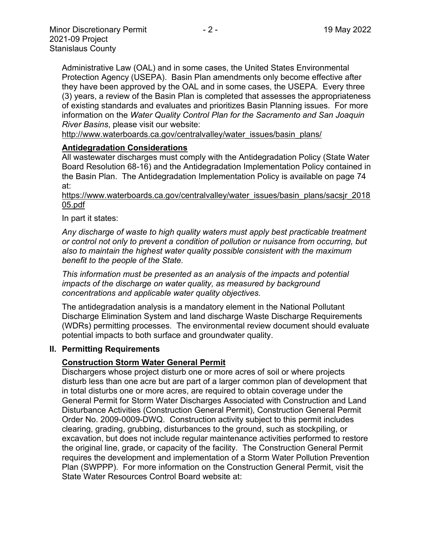Administrative Law (OAL) and in some cases, the United States Environmental Protection Agency (USEPA). Basin Plan amendments only become effective after they have been approved by the OAL and in some cases, the USEPA. Every three (3) years, a review of the Basin Plan is completed that assesses the appropriateness of existing standards and evaluates and prioritizes Basin Planning issues. For more information on the *Water Quality Control Plan for the Sacramento and San Joaquin River Basins*, please visit our website:

[http://www.waterboards.ca.gov/centralvalley/water\\_issues/basin\\_plans/](http://www.waterboards.ca.gov/centralvalley/water_issues/basin_plans/)

#### **Antidegradation Considerations**

All wastewater discharges must comply with the Antidegradation Policy (State Water Board Resolution 68-16) and the Antidegradation Implementation Policy contained in the Basin Plan. The Antidegradation Implementation Policy is available on page 74 at:

https://www.waterboards.ca.gov/centralvalley/water\_issues/basin\_plans/sacsjr\_2018 05.pdf

In part it states:

*Any discharge of waste to high quality waters must apply best practicable treatment or control not only to prevent a condition of pollution or nuisance from occurring, but also to maintain the highest water quality possible consistent with the maximum benefit to the people of the State.*

*This information must be presented as an analysis of the impacts and potential impacts of the discharge on water quality, as measured by background concentrations and applicable water quality objectives.*

The antidegradation analysis is a mandatory element in the National Pollutant Discharge Elimination System and land discharge Waste Discharge Requirements (WDRs) permitting processes. The environmental review document should evaluate potential impacts to both surface and groundwater quality.

#### **II. Permitting Requirements**

#### **Construction Storm Water General Permit**

Dischargers whose project disturb one or more acres of soil or where projects disturb less than one acre but are part of a larger common plan of development that in total disturbs one or more acres, are required to obtain coverage under the General Permit for Storm Water Discharges Associated with Construction and Land Disturbance Activities (Construction General Permit), Construction General Permit Order No. 2009-0009-DWQ. Construction activity subject to this permit includes clearing, grading, grubbing, disturbances to the ground, such as stockpiling, or excavation, but does not include regular maintenance activities performed to restore the original line, grade, or capacity of the facility. The Construction General Permit requires the development and implementation of a Storm Water Pollution Prevention Plan (SWPPP). For more information on the Construction General Permit, visit the State Water Resources Control Board website at: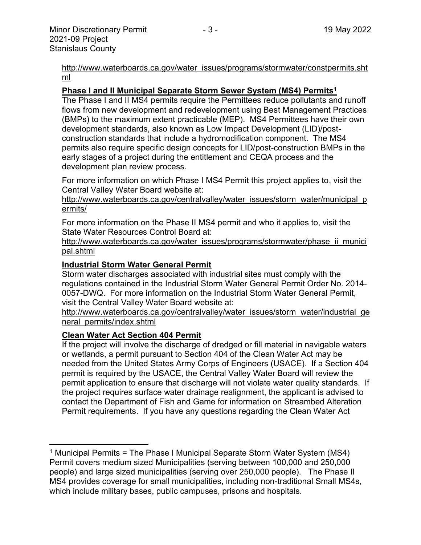[http://www.waterboards.ca.gov/water\\_issues/programs/stormwater/constpermits.sht](http://www.waterboards.ca.gov/water_issues/programs/stormwater/constpermits.shtml) [ml](http://www.waterboards.ca.gov/water_issues/programs/stormwater/constpermits.shtml)

#### **Phase I and II Municipal Separate Storm Sewer System (MS4) Permits<sup>1</sup>**

The Phase I and II MS4 permits require the Permittees reduce pollutants and runoff flows from new development and redevelopment using Best Management Practices (BMPs) to the maximum extent practicable (MEP). MS4 Permittees have their own development standards, also known as Low Impact Development (LID)/postconstruction standards that include a hydromodification component. The MS4 permits also require specific design concepts for LID/post-construction BMPs in the early stages of a project during the entitlement and CEQA process and the development plan review process.

For more information on which Phase I MS4 Permit this project applies to, visit the Central Valley Water Board website at:

http://www.waterboards.ca.gov/centralvalley/water\_issues/storm\_water/municipal\_p ermits/

For more information on the Phase II MS4 permit and who it applies to, visit the State Water Resources Control Board at:

http://www.waterboards.ca.gov/water\_issues/programs/stormwater/phase\_ii\_munici pal.shtml

#### **Industrial Storm Water General Permit**

Storm water discharges associated with industrial sites must comply with the regulations contained in the Industrial Storm Water General Permit Order No. 2014- 0057-DWQ. For more information on the Industrial Storm Water General Permit, visit the Central Valley Water Board website at:

http://www.waterboards.ca.gov/centralvalley/water\_issues/storm\_water/industrial\_ge neral\_permits/index.shtml

#### **Clean Water Act Section 404 Permit**

If the project will involve the discharge of dredged or fill material in navigable waters or wetlands, a permit pursuant to Section 404 of the Clean Water Act may be needed from the United States Army Corps of Engineers (USACE). If a Section 404 permit is required by the USACE, the Central Valley Water Board will review the permit application to ensure that discharge will not violate water quality standards. If the project requires surface water drainage realignment, the applicant is advised to contact the Department of Fish and Game for information on Streambed Alteration Permit requirements. If you have any questions regarding the Clean Water Act

<sup>&</sup>lt;sup>1</sup> Municipal Permits = The Phase I Municipal Separate Storm Water System (MS4) Permit covers medium sized Municipalities (serving between 100,000 and 250,000 people) and large sized municipalities (serving over 250,000 people). The Phase II MS4 provides coverage for small municipalities, including non-traditional Small MS4s, which include military bases, public campuses, prisons and hospitals.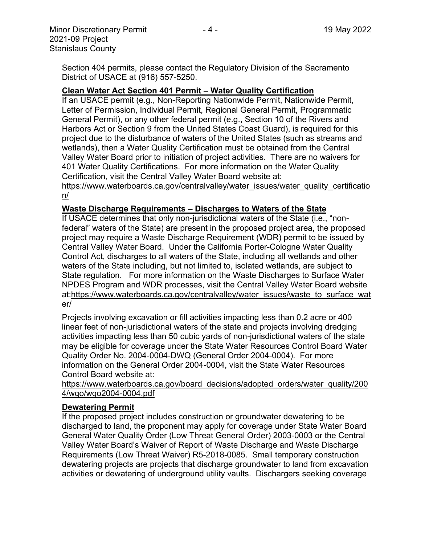Section 404 permits, please contact the Regulatory Division of the Sacramento District of USACE at (916) 557-5250.

#### **Clean Water Act Section 401 Permit – Water Quality Certification**

If an USACE permit (e.g., Non-Reporting Nationwide Permit, Nationwide Permit, Letter of Permission, Individual Permit, Regional General Permit, Programmatic General Permit), or any other federal permit (e.g., Section 10 of the Rivers and Harbors Act or Section 9 from the United States Coast Guard), is required for this project due to the disturbance of waters of the United States (such as streams and wetlands), then a Water Quality Certification must be obtained from the Central Valley Water Board prior to initiation of project activities. There are no waivers for 401 Water Quality Certifications. For more information on the Water Quality Certification, visit the Central Valley Water Board website at:

https://www.waterboards.ca.gov/centralvalley/water\_issues/water\_quality\_certificatio n/

#### **Waste Discharge Requirements – Discharges to Waters of the State**

If USACE determines that only non-jurisdictional waters of the State (i.e., "nonfederal" waters of the State) are present in the proposed project area, the proposed project may require a Waste Discharge Requirement (WDR) permit to be issued by Central Valley Water Board. Under the California Porter-Cologne Water Quality Control Act, discharges to all waters of the State, including all wetlands and other waters of the State including, but not limited to, isolated wetlands, are subject to State regulation. For more information on the Waste Discharges to Surface Water NPDES Program and WDR processes, visit the Central Valley Water Board website at:https://www.waterboards.ca.gov/centralvalley/water\_issues/waste\_to\_surface\_wat er/

Projects involving excavation or fill activities impacting less than 0.2 acre or 400 linear feet of non-jurisdictional waters of the state and projects involving dredging activities impacting less than 50 cubic yards of non-jurisdictional waters of the state may be eligible for coverage under the State Water Resources Control Board Water Quality Order No. 2004-0004-DWQ (General Order 2004-0004). For more information on the General Order 2004-0004, visit the State Water Resources Control Board website at:

https://www.waterboards.ca.gov/board\_decisions/adopted\_orders/water\_quality/200 4/wqo/wqo2004-0004.pdf

#### **Dewatering Permit**

If the proposed project includes construction or groundwater dewatering to be discharged to land, the proponent may apply for coverage under State Water Board General Water Quality Order (Low Threat General Order) 2003-0003 or the Central Valley Water Board's Waiver of Report of Waste Discharge and Waste Discharge Requirements (Low Threat Waiver) R5-2018-0085. Small temporary construction dewatering projects are projects that discharge groundwater to land from excavation activities or dewatering of underground utility vaults. Dischargers seeking coverage